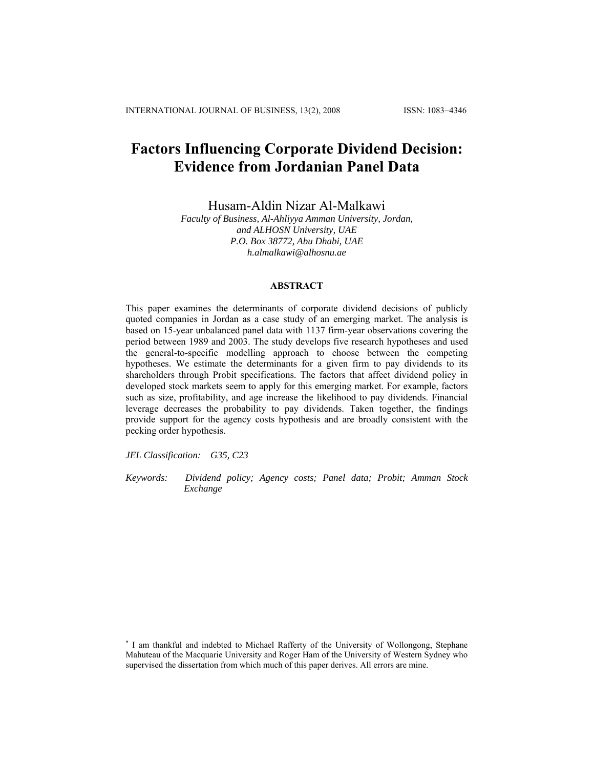# **Factors Influencing Corporate Dividend Decision: Evidence from Jordanian Panel Data**

Husam-Aldin Nizar Al-Malkawi

*Faculty of Business, Al-Ahliyya Amman University, Jordan, and ALHOSN University, UAE P.O. Box 38772, Abu Dhabi, UAE h.almalkawi@alhosnu.ae* 

## **ABSTRACT**

This paper examines the determinants of corporate dividend decisions of publicly quoted companies in Jordan as a case study of an emerging market. The analysis is based on 15-year unbalanced panel data with 1137 firm-year observations covering the period between 1989 and 2003. The study develops five research hypotheses and used the general-to-specific modelling approach to choose between the competing hypotheses. We estimate the determinants for a given firm to pay dividends to its shareholders through Probit specifications. The factors that affect dividend policy in developed stock markets seem to apply for this emerging market. For example, factors such as size, profitability, and age increase the likelihood to pay dividends. Financial leverage decreases the probability to pay dividends. Taken together, the findings provide support for the agency costs hypothesis and are broadly consistent with the pecking order hypothesis.

*JEL Classification: G35, C23* 

*Keywords: Dividend policy; Agency costs; Panel data; Probit; Amman Stock Exchange* 

∗ I am thankful and indebted to Michael Rafferty of the University of Wollongong, Stephane Mahuteau of the Macquarie University and Roger Ham of the University of Western Sydney who supervised the dissertation from which much of this paper derives. All errors are mine.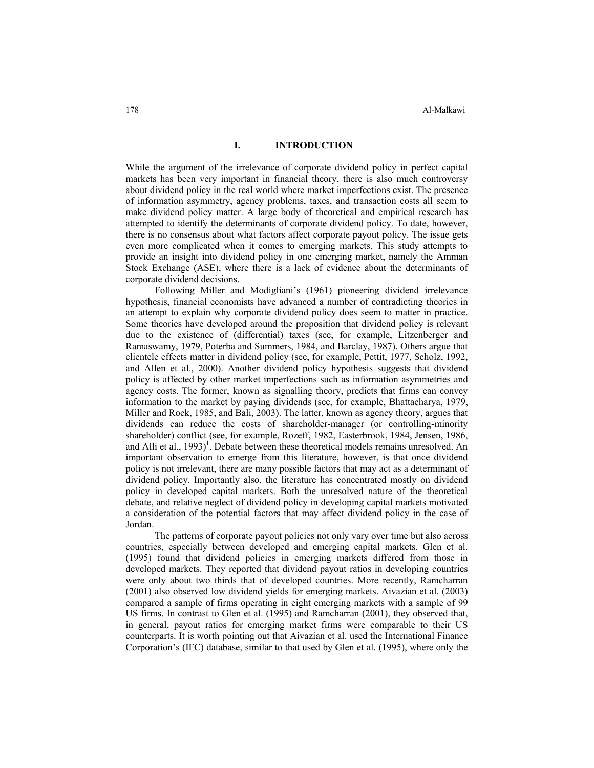## **I. INTRODUCTION**

While the argument of the irrelevance of corporate dividend policy in perfect capital markets has been very important in financial theory, there is also much controversy about dividend policy in the real world where market imperfections exist. The presence of information asymmetry, agency problems, taxes, and transaction costs all seem to make dividend policy matter. A large body of theoretical and empirical research has attempted to identify the determinants of corporate dividend policy. To date, however, there is no consensus about what factors affect corporate payout policy. The issue gets even more complicated when it comes to emerging markets. This study attempts to provide an insight into dividend policy in one emerging market, namely the Amman Stock Exchange (ASE), where there is a lack of evidence about the determinants of corporate dividend decisions.

Following Miller and Modigliani's (1961) pioneering dividend irrelevance hypothesis, financial economists have advanced a number of contradicting theories in an attempt to explain why corporate dividend policy does seem to matter in practice. Some theories have developed around the proposition that dividend policy is relevant due to the existence of (differential) taxes (see, for example, Litzenberger and Ramaswamy, 1979, Poterba and Summers, 1984, and Barclay, 1987). Others argue that clientele effects matter in dividend policy (see, for example, Pettit, 1977, Scholz, 1992, and Allen et al., 2000). Another dividend policy hypothesis suggests that dividend policy is affected by other market imperfections such as information asymmetries and agency costs. The former, known as signalling theory, predicts that firms can convey information to the market by paying dividends (see, for example, Bhattacharya, 1979, Miller and Rock, 1985, and Bali, 2003). The latter, known as agency theory, argues that dividends can reduce the costs of shareholder-manager (or controlling-minority shareholder) conflict (see, for example, Rozeff, 1982, Easterbrook, 1984, Jensen, 1986, and Alli et al.,  $1993$ <sup>1</sup>. Debate between these theoretical models remains unresolved. An important observation to emerge from this literature, however, is that once dividend policy is not irrelevant, there are many possible factors that may act as a determinant of dividend policy. Importantly also, the literature has concentrated mostly on dividend policy in developed capital markets. Both the unresolved nature of the theoretical debate, and relative neglect of dividend policy in developing capital markets motivated a consideration of the potential factors that may affect dividend policy in the case of Jordan.

The patterns of corporate payout policies not only vary over time but also across countries, especially between developed and emerging capital markets. Glen et al. (1995) found that dividend policies in emerging markets differed from those in developed markets. They reported that dividend payout ratios in developing countries were only about two thirds that of developed countries. More recently, Ramcharran (2001) also observed low dividend yields for emerging markets. Aivazian et al. (2003) compared a sample of firms operating in eight emerging markets with a sample of 99 US firms. In contrast to Glen et al. (1995) and Ramcharran (2001), they observed that, in general, payout ratios for emerging market firms were comparable to their US counterparts. It is worth pointing out that Aivazian et al. used the International Finance Corporation's (IFC) database, similar to that used by Glen et al. (1995), where only the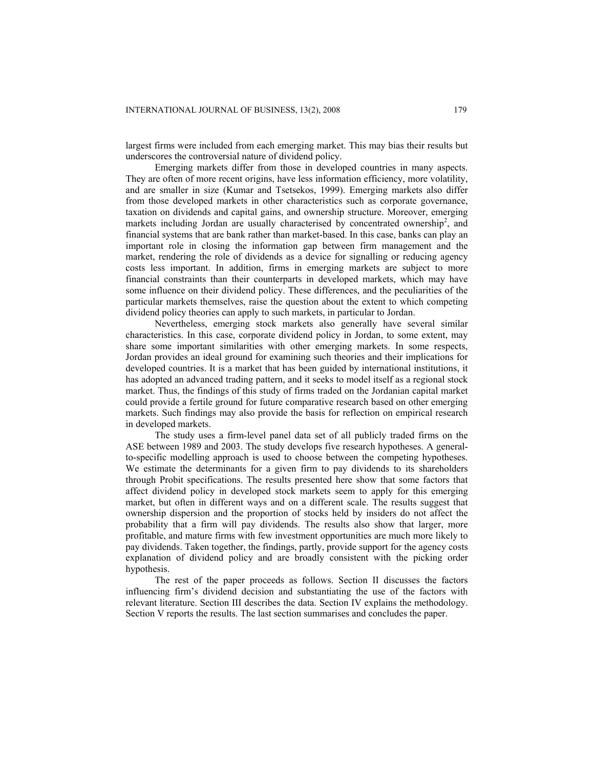largest firms were included from each emerging market. This may bias their results but underscores the controversial nature of dividend policy.

Emerging markets differ from those in developed countries in many aspects. They are often of more recent origins, have less information efficiency, more volatility, and are smaller in size (Kumar and Tsetsekos, 1999). Emerging markets also differ from those developed markets in other characteristics such as corporate governance, taxation on dividends and capital gains, and ownership structure. Moreover, emerging markets including Jordan are usually characterised by concentrated ownership<sup>2</sup>, and financial systems that are bank rather than market-based. In this case, banks can play an important role in closing the information gap between firm management and the market, rendering the role of dividends as a device for signalling or reducing agency costs less important. In addition, firms in emerging markets are subject to more financial constraints than their counterparts in developed markets, which may have some influence on their dividend policy. These differences, and the peculiarities of the particular markets themselves, raise the question about the extent to which competing dividend policy theories can apply to such markets, in particular to Jordan.

Nevertheless, emerging stock markets also generally have several similar characteristics. In this case, corporate dividend policy in Jordan, to some extent, may share some important similarities with other emerging markets. In some respects, Jordan provides an ideal ground for examining such theories and their implications for developed countries. It is a market that has been guided by international institutions, it has adopted an advanced trading pattern, and it seeks to model itself as a regional stock market. Thus, the findings of this study of firms traded on the Jordanian capital market could provide a fertile ground for future comparative research based on other emerging markets. Such findings may also provide the basis for reflection on empirical research in developed markets.

The study uses a firm-level panel data set of all publicly traded firms on the ASE between 1989 and 2003. The study develops five research hypotheses. A generalto-specific modelling approach is used to choose between the competing hypotheses. We estimate the determinants for a given firm to pay dividends to its shareholders through Probit specifications. The results presented here show that some factors that affect dividend policy in developed stock markets seem to apply for this emerging market, but often in different ways and on a different scale. The results suggest that ownership dispersion and the proportion of stocks held by insiders do not affect the probability that a firm will pay dividends. The results also show that larger, more profitable, and mature firms with few investment opportunities are much more likely to pay dividends. Taken together, the findings, partly, provide support for the agency costs explanation of dividend policy and are broadly consistent with the picking order hypothesis.

The rest of the paper proceeds as follows. Section II discusses the factors influencing firm's dividend decision and substantiating the use of the factors with relevant literature. Section III describes the data. Section IV explains the methodology. Section V reports the results. The last section summarises and concludes the paper.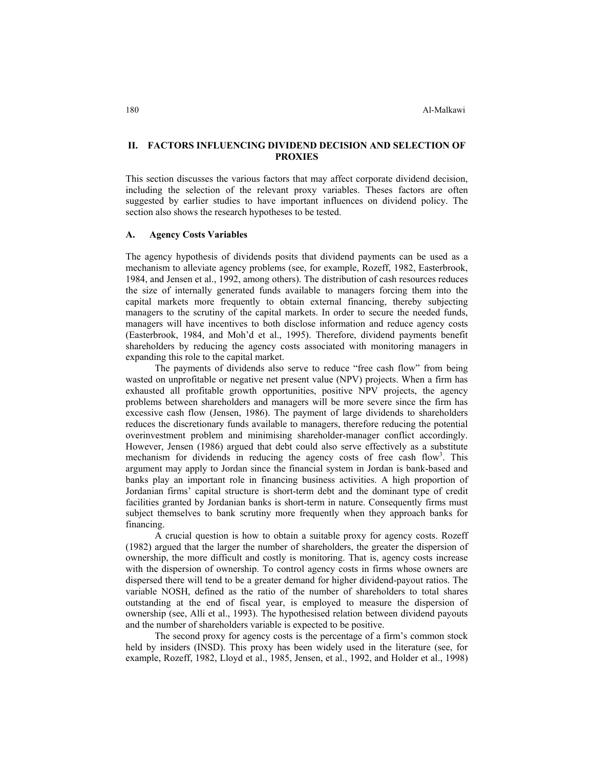## **II. FACTORS INFLUENCING DIVIDEND DECISION AND SELECTION OF PROXIES**

This section discusses the various factors that may affect corporate dividend decision, including the selection of the relevant proxy variables. Theses factors are often suggested by earlier studies to have important influences on dividend policy. The section also shows the research hypotheses to be tested.

#### **A. Agency Costs Variables**

The agency hypothesis of dividends posits that dividend payments can be used as a mechanism to alleviate agency problems (see, for example, Rozeff, 1982, Easterbrook, 1984, and Jensen et al., 1992, among others). The distribution of cash resources reduces the size of internally generated funds available to managers forcing them into the capital markets more frequently to obtain external financing, thereby subjecting managers to the scrutiny of the capital markets. In order to secure the needed funds, managers will have incentives to both disclose information and reduce agency costs (Easterbrook, 1984, and Moh'd et al., 1995). Therefore, dividend payments benefit shareholders by reducing the agency costs associated with monitoring managers in expanding this role to the capital market.

The payments of dividends also serve to reduce "free cash flow" from being wasted on unprofitable or negative net present value (NPV) projects. When a firm has exhausted all profitable growth opportunities, positive NPV projects, the agency problems between shareholders and managers will be more severe since the firm has excessive cash flow (Jensen, 1986). The payment of large dividends to shareholders reduces the discretionary funds available to managers, therefore reducing the potential overinvestment problem and minimising shareholder-manager conflict accordingly. However, Jensen (1986) argued that debt could also serve effectively as a substitute mechanism for dividends in reducing the agency costs of free cash flow<sup>3</sup>. This argument may apply to Jordan since the financial system in Jordan is bank-based and banks play an important role in financing business activities. A high proportion of Jordanian firms' capital structure is short-term debt and the dominant type of credit facilities granted by Jordanian banks is short-term in nature. Consequently firms must subject themselves to bank scrutiny more frequently when they approach banks for financing.

A crucial question is how to obtain a suitable proxy for agency costs. Rozeff (1982) argued that the larger the number of shareholders, the greater the dispersion of ownership, the more difficult and costly is monitoring. That is, agency costs increase with the dispersion of ownership. To control agency costs in firms whose owners are dispersed there will tend to be a greater demand for higher dividend-payout ratios. The variable NOSH, defined as the ratio of the number of shareholders to total shares outstanding at the end of fiscal year, is employed to measure the dispersion of ownership (see, Alli et al., 1993). The hypothesised relation between dividend payouts and the number of shareholders variable is expected to be positive.

The second proxy for agency costs is the percentage of a firm's common stock held by insiders (INSD). This proxy has been widely used in the literature (see, for example, Rozeff, 1982, Lloyd et al., 1985, Jensen, et al., 1992, and Holder et al., 1998)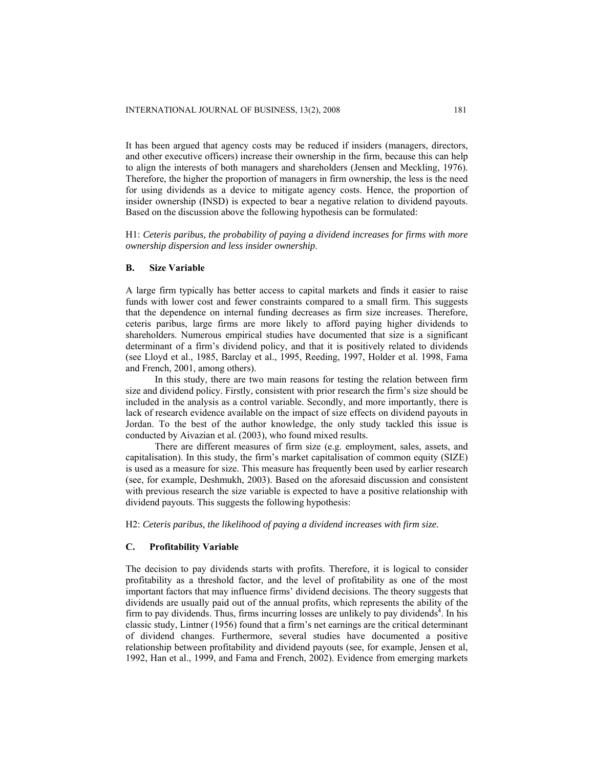It has been argued that agency costs may be reduced if insiders (managers, directors, and other executive officers) increase their ownership in the firm, because this can help to align the interests of both managers and shareholders (Jensen and Meckling, 1976). Therefore, the higher the proportion of managers in firm ownership, the less is the need for using dividends as a device to mitigate agency costs. Hence, the proportion of insider ownership (INSD) is expected to bear a negative relation to dividend payouts. Based on the discussion above the following hypothesis can be formulated:

H1: *Ceteris paribus, the probability of paying a dividend increases for firms with more ownership dispersion and less insider ownership*.

#### **B. Size Variable**

A large firm typically has better access to capital markets and finds it easier to raise funds with lower cost and fewer constraints compared to a small firm. This suggests that the dependence on internal funding decreases as firm size increases. Therefore, ceteris paribus, large firms are more likely to afford paying higher dividends to shareholders. Numerous empirical studies have documented that size is a significant determinant of a firm's dividend policy, and that it is positively related to dividends (see Lloyd et al., 1985, Barclay et al., 1995, Reeding, 1997, Holder et al. 1998, Fama and French, 2001, among others).

In this study, there are two main reasons for testing the relation between firm size and dividend policy. Firstly, consistent with prior research the firm's size should be included in the analysis as a control variable. Secondly, and more importantly, there is lack of research evidence available on the impact of size effects on dividend payouts in Jordan. To the best of the author knowledge, the only study tackled this issue is conducted by Aivazian et al. (2003), who found mixed results.

There are different measures of firm size (e.g. employment, sales, assets, and capitalisation). In this study, the firm's market capitalisation of common equity (SIZE) is used as a measure for size. This measure has frequently been used by earlier research (see, for example, Deshmukh, 2003). Based on the aforesaid discussion and consistent with previous research the size variable is expected to have a positive relationship with dividend payouts. This suggests the following hypothesis:

H2: *Ceteris paribus, the likelihood of paying a dividend increases with firm size.* 

#### **C. Profitability Variable**

The decision to pay dividends starts with profits. Therefore, it is logical to consider profitability as a threshold factor, and the level of profitability as one of the most important factors that may influence firms' dividend decisions. The theory suggests that dividends are usually paid out of the annual profits, which represents the ability of the firm to pay dividends. Thus, firms incurring losses are unlikely to pay dividends<sup>4</sup>. In his classic study, Lintner (1956) found that a firm's net earnings are the critical determinant of dividend changes. Furthermore, several studies have documented a positive relationship between profitability and dividend payouts (see, for example, Jensen et al, 1992, Han et al., 1999, and Fama and French, 2002). Evidence from emerging markets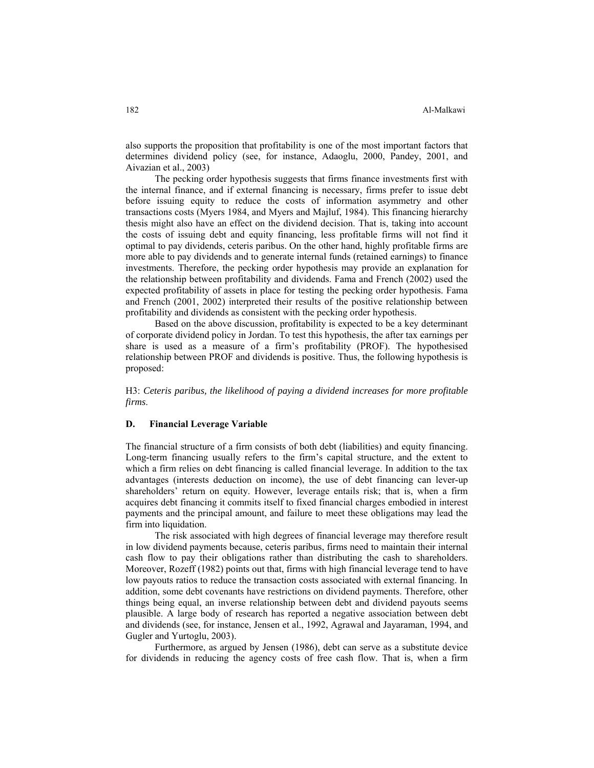also supports the proposition that profitability is one of the most important factors that determines dividend policy (see, for instance, Adaoglu, 2000, Pandey, 2001, and Aivazian et al., 2003)

The pecking order hypothesis suggests that firms finance investments first with the internal finance, and if external financing is necessary, firms prefer to issue debt before issuing equity to reduce the costs of information asymmetry and other transactions costs (Myers 1984, and Myers and Majluf, 1984). This financing hierarchy thesis might also have an effect on the dividend decision. That is, taking into account the costs of issuing debt and equity financing, less profitable firms will not find it optimal to pay dividends, ceteris paribus. On the other hand, highly profitable firms are more able to pay dividends and to generate internal funds (retained earnings) to finance investments. Therefore, the pecking order hypothesis may provide an explanation for the relationship between profitability and dividends. Fama and French (2002) used the expected profitability of assets in place for testing the pecking order hypothesis. Fama and French (2001, 2002) interpreted their results of the positive relationship between profitability and dividends as consistent with the pecking order hypothesis.

Based on the above discussion, profitability is expected to be a key determinant of corporate dividend policy in Jordan. To test this hypothesis, the after tax earnings per share is used as a measure of a firm's profitability (PROF). The hypothesised relationship between PROF and dividends is positive. Thus, the following hypothesis is proposed:

H3: *Ceteris paribus, the likelihood of paying a dividend increases for more profitable firms*.

#### **D. Financial Leverage Variable**

The financial structure of a firm consists of both debt (liabilities) and equity financing. Long-term financing usually refers to the firm's capital structure, and the extent to which a firm relies on debt financing is called financial leverage. In addition to the tax advantages (interests deduction on income), the use of debt financing can lever-up shareholders' return on equity. However, leverage entails risk; that is, when a firm acquires debt financing it commits itself to fixed financial charges embodied in interest payments and the principal amount, and failure to meet these obligations may lead the firm into liquidation.

 The risk associated with high degrees of financial leverage may therefore result in low dividend payments because, ceteris paribus, firms need to maintain their internal cash flow to pay their obligations rather than distributing the cash to shareholders. Moreover, Rozeff (1982) points out that, firms with high financial leverage tend to have low payouts ratios to reduce the transaction costs associated with external financing. In addition, some debt covenants have restrictions on dividend payments. Therefore, other things being equal, an inverse relationship between debt and dividend payouts seems plausible. A large body of research has reported a negative association between debt and dividends (see, for instance, Jensen et al., 1992, Agrawal and Jayaraman, 1994, and Gugler and Yurtoglu, 2003).

 Furthermore, as argued by Jensen (1986), debt can serve as a substitute device for dividends in reducing the agency costs of free cash flow. That is, when a firm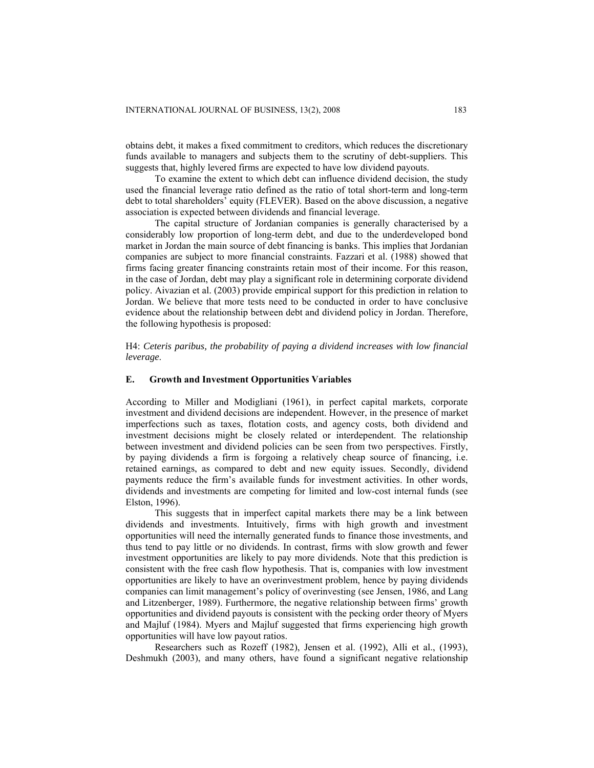obtains debt, it makes a fixed commitment to creditors, which reduces the discretionary funds available to managers and subjects them to the scrutiny of debt-suppliers. This suggests that, highly levered firms are expected to have low dividend payouts.

 To examine the extent to which debt can influence dividend decision, the study used the financial leverage ratio defined as the ratio of total short-term and long-term debt to total shareholders' equity (FLEVER). Based on the above discussion, a negative association is expected between dividends and financial leverage.

 The capital structure of Jordanian companies is generally characterised by a considerably low proportion of long-term debt, and due to the underdeveloped bond market in Jordan the main source of debt financing is banks. This implies that Jordanian companies are subject to more financial constraints. Fazzari et al. (1988) showed that firms facing greater financing constraints retain most of their income. For this reason, in the case of Jordan, debt may play a significant role in determining corporate dividend policy. Aivazian et al. (2003) provide empirical support for this prediction in relation to Jordan. We believe that more tests need to be conducted in order to have conclusive evidence about the relationship between debt and dividend policy in Jordan. Therefore, the following hypothesis is proposed:

H4: *Ceteris paribus, the probability of paying a dividend increases with low financial leverage*.

## **E. Growth and Investment Opportunities Variables**

According to Miller and Modigliani (1961), in perfect capital markets, corporate investment and dividend decisions are independent. However, in the presence of market imperfections such as taxes, flotation costs, and agency costs, both dividend and investment decisions might be closely related or interdependent. The relationship between investment and dividend policies can be seen from two perspectives. Firstly, by paying dividends a firm is forgoing a relatively cheap source of financing, i.e. retained earnings, as compared to debt and new equity issues. Secondly, dividend payments reduce the firm's available funds for investment activities. In other words, dividends and investments are competing for limited and low-cost internal funds (see Elston, 1996).

 This suggests that in imperfect capital markets there may be a link between dividends and investments. Intuitively, firms with high growth and investment opportunities will need the internally generated funds to finance those investments, and thus tend to pay little or no dividends. In contrast, firms with slow growth and fewer investment opportunities are likely to pay more dividends. Note that this prediction is consistent with the free cash flow hypothesis. That is, companies with low investment opportunities are likely to have an overinvestment problem, hence by paying dividends companies can limit management's policy of overinvesting (see Jensen, 1986, and Lang and Litzenberger, 1989). Furthermore, the negative relationship between firms' growth opportunities and dividend payouts is consistent with the pecking order theory of Myers and Majluf (1984). Myers and Majluf suggested that firms experiencing high growth opportunities will have low payout ratios.

 Researchers such as Rozeff (1982), Jensen et al. (1992), Alli et al., (1993), Deshmukh (2003), and many others, have found a significant negative relationship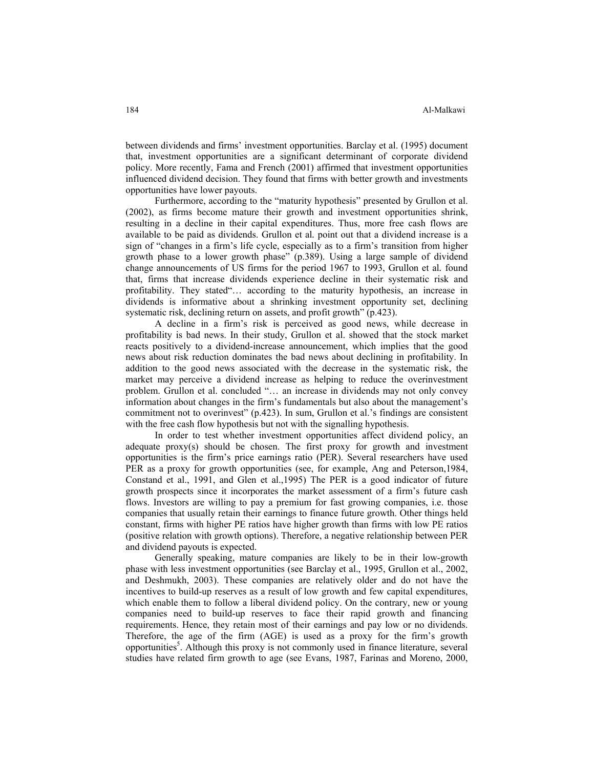between dividends and firms' investment opportunities. Barclay et al. (1995) document that, investment opportunities are a significant determinant of corporate dividend policy. More recently, Fama and French (2001) affirmed that investment opportunities influenced dividend decision. They found that firms with better growth and investments opportunities have lower payouts.

 Furthermore, according to the "maturity hypothesis" presented by Grullon et al. (2002), as firms become mature their growth and investment opportunities shrink, resulting in a decline in their capital expenditures. Thus, more free cash flows are available to be paid as dividends. Grullon et al*.* point out that a dividend increase is a sign of "changes in a firm's life cycle, especially as to a firm's transition from higher growth phase to a lower growth phase" (p.389). Using a large sample of dividend change announcements of US firms for the period 1967 to 1993, Grullon et al*.* found that, firms that increase dividends experience decline in their systematic risk and profitability. They stated"… according to the maturity hypothesis, an increase in dividends is informative about a shrinking investment opportunity set, declining systematic risk, declining return on assets, and profit growth" (p.423).

 A decline in a firm's risk is perceived as good news, while decrease in profitability is bad news. In their study, Grullon et al. showed that the stock market reacts positively to a dividend-increase announcement, which implies that the good news about risk reduction dominates the bad news about declining in profitability. In addition to the good news associated with the decrease in the systematic risk, the market may perceive a dividend increase as helping to reduce the overinvestment problem. Grullon et al. concluded "… an increase in dividends may not only convey information about changes in the firm's fundamentals but also about the management's commitment not to overinvest" (p.423). In sum, Grullon et al.'s findings are consistent with the free cash flow hypothesis but not with the signalling hypothesis.

 In order to test whether investment opportunities affect dividend policy, an adequate proxy(s) should be chosen. The first proxy for growth and investment opportunities is the firm's price earnings ratio (PER). Several researchers have used PER as a proxy for growth opportunities (see, for example, Ang and Peterson,1984, Constand et al., 1991, and Glen et al.,1995) The PER is a good indicator of future growth prospects since it incorporates the market assessment of a firm's future cash flows. Investors are willing to pay a premium for fast growing companies, i.e. those companies that usually retain their earnings to finance future growth. Other things held constant, firms with higher PE ratios have higher growth than firms with low PE ratios (positive relation with growth options). Therefore, a negative relationship between PER and dividend payouts is expected.

 Generally speaking, mature companies are likely to be in their low-growth phase with less investment opportunities (see Barclay et al., 1995, Grullon et al., 2002, and Deshmukh, 2003). These companies are relatively older and do not have the incentives to build-up reserves as a result of low growth and few capital expenditures, which enable them to follow a liberal dividend policy. On the contrary, new or young companies need to build-up reserves to face their rapid growth and financing requirements. Hence, they retain most of their earnings and pay low or no dividends. Therefore, the age of the firm (AGE) is used as a proxy for the firm's growth opportunities<sup>5</sup>. Although this proxy is not commonly used in finance literature, several studies have related firm growth to age (see Evans, 1987, Farinas and Moreno, 2000,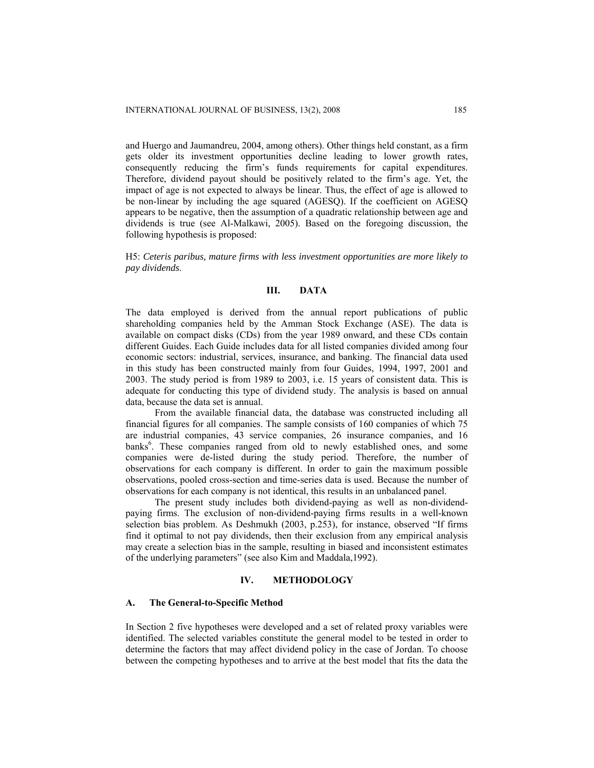and Huergo and Jaumandreu, 2004, among others). Other things held constant, as a firm gets older its investment opportunities decline leading to lower growth rates, consequently reducing the firm's funds requirements for capital expenditures. Therefore, dividend payout should be positively related to the firm's age. Yet, the impact of age is not expected to always be linear. Thus, the effect of age is allowed to be non-linear by including the age squared (AGESQ). If the coefficient on AGESQ appears to be negative, then the assumption of a quadratic relationship between age and dividends is true (see Al-Malkawi, 2005). Based on the foregoing discussion, the following hypothesis is proposed:

H5: *Ceteris paribus, mature firms with less investment opportunities are more likely to pay dividends*.

## **III. DATA**

The data employed is derived from the annual report publications of public shareholding companies held by the Amman Stock Exchange (ASE). The data is available on compact disks (CDs) from the year 1989 onward, and these CDs contain different Guides. Each Guide includes data for all listed companies divided among four economic sectors: industrial, services, insurance, and banking. The financial data used in this study has been constructed mainly from four Guides, 1994, 1997, 2001 and 2003. The study period is from 1989 to 2003, i.e. 15 years of consistent data. This is adequate for conducting this type of dividend study. The analysis is based on annual data, because the data set is annual.

 From the available financial data, the database was constructed including all financial figures for all companies. The sample consists of 160 companies of which 75 are industrial companies, 43 service companies, 26 insurance companies, and 16 banks<sup>6</sup>. These companies ranged from old to newly established ones, and some companies were de-listed during the study period. Therefore, the number of observations for each company is different. In order to gain the maximum possible observations, pooled cross-section and time-series data is used. Because the number of observations for each company is not identical, this results in an unbalanced panel.

 The present study includes both dividend-paying as well as non-dividendpaying firms. The exclusion of non-dividend-paying firms results in a well-known selection bias problem. As Deshmukh (2003, p.253), for instance, observed "If firms find it optimal to not pay dividends, then their exclusion from any empirical analysis may create a selection bias in the sample, resulting in biased and inconsistent estimates of the underlying parameters" (see also Kim and Maddala,1992).

#### **IV. METHODOLOGY**

## **A. The General-to-Specific Method**

In Section 2 five hypotheses were developed and a set of related proxy variables were identified. The selected variables constitute the general model to be tested in order to determine the factors that may affect dividend policy in the case of Jordan. To choose between the competing hypotheses and to arrive at the best model that fits the data the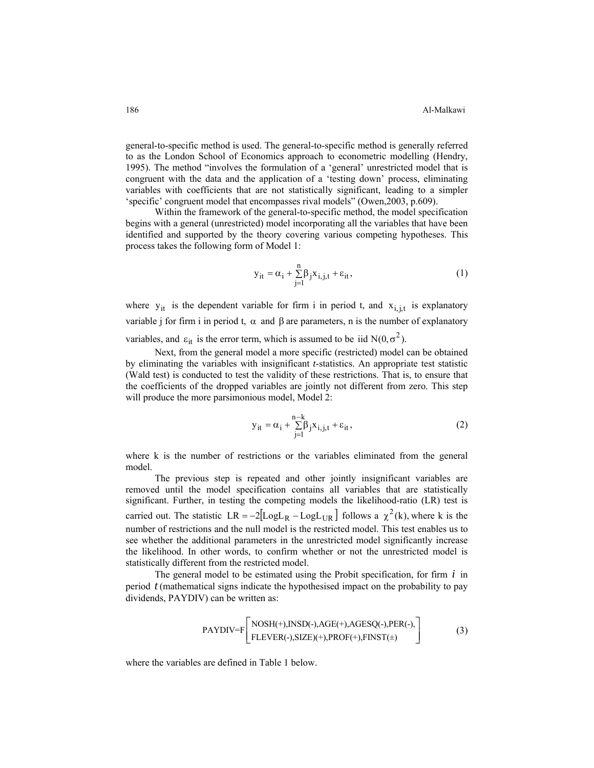general-to-specific method is used. The general-to-specific method is generally referred to as the London School of Economics approach to econometric modelling (Hendry, 1995). The method "involves the formulation of a 'general' unrestricted model that is congruent with the data and the application of a 'testing down' process, eliminating variables with coefficients that are not statistically significant, leading to a simpler 'specific' congruent model that encompasses rival models" (Owen,2003, p.609).

Within the framework of the general-to-specific method, the model specification begins with a general (unrestricted) model incorporating all the variables that have been identified and supported by the theory covering various competing hypotheses. This process takes the following form of Model 1:

$$
y_{it} = \alpha_i + \sum_{j=1}^{n} \beta_j x_{i,j,t} + \varepsilon_{it},
$$
 (1)

where  $y_{it}$  is the dependent variable for firm i in period t, and  $x_{i,j,t}$  is explanatory variable j for firm i in period t,  $\alpha$  and  $\beta$  are parameters, n is the number of explanatory variables, and  $\varepsilon_{it}$  is the error term, which is assumed to be iid  $N(0,\sigma^2)$ .

Next, from the general model a more specific (restricted) model can be obtained by eliminating the variables with insignificant *t*-statistics. An appropriate test statistic (Wald test) is conducted to test the validity of these restrictions. That is, to ensure that the coefficients of the dropped variables are jointly not different from zero. This step will produce the more parsimonious model, Model 2:

$$
y_{it} = \alpha_i + \sum_{j=1}^{n-k} \beta_j x_{i,j,t} + \varepsilon_{it},
$$
 (2)

where k is the number of restrictions or the variables eliminated from the general model.

The previous step is repeated and other jointly insignificant variables are removed until the model specification contains all variables that are statistically significant. Further, in testing the competing models the likelihood-ratio (LR) test is carried out. The statistic  $LR = -2[LogL<sub>R</sub> - LogL<sub>UR</sub>]$  follows a  $\chi^2(k)$ , where k is the number of restrictions and the null model is the restricted model. This test enables us to see whether the additional parameters in the unrestricted model significantly increase the likelihood. In other words, to confirm whether or not the unrestricted model is statistically different from the restricted model.

The general model to be estimated using the Probit specification, for firm  $i$  in period  $t$  (mathematical signs indicate the hypothesised impact on the probability to pay dividends, PAYDIV) can be written as:

$$
PAYDIV = F\left[\begin{matrix} NOSH(+), NSD(-), AGE(+), AGESQ(-), PER(-), \\ FLEVER(-), SIZE)(+), PROF(+), FINST(\pm) \end{matrix}\right]
$$
(3)

where the variables are defined in Table 1 below.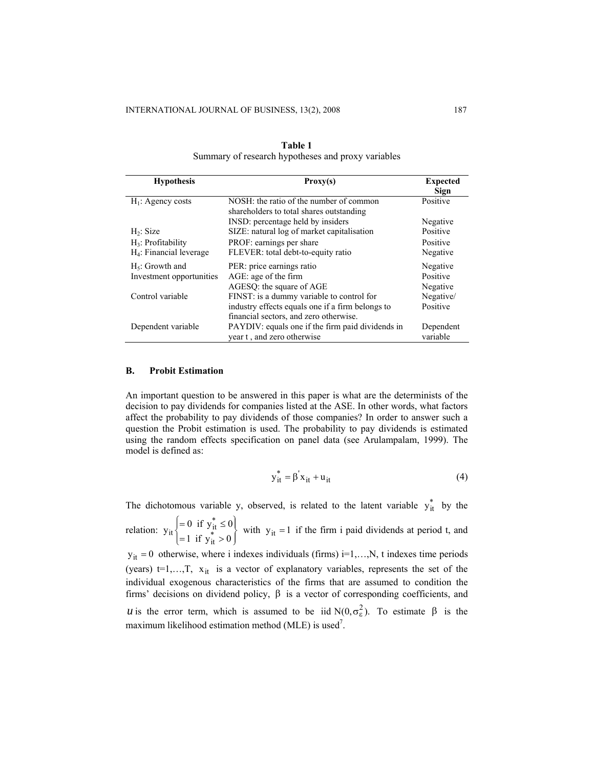| <b>Hypothesis</b>          | Proxy(s)                                                                            | <b>Expected</b><br>Sign |
|----------------------------|-------------------------------------------------------------------------------------|-------------------------|
| $H_1$ : Agency costs       | NOSH: the ratio of the number of common<br>shareholders to total shares outstanding | Positive                |
|                            | INSD: percentage held by insiders                                                   | Negative                |
| H <sub>2</sub> : Size      | SIZE: natural log of market capitalisation                                          | Positive                |
| $H_3$ : Profitability      | PROF: earnings per share                                                            | Positive                |
| $H_4$ : Financial leverage | FLEVER: total debt-to-equity ratio                                                  | Negative                |
| $H_5$ : Growth and         | PER: price earnings ratio                                                           | Negative                |
| Investment opportunities   | AGE: age of the firm                                                                | Positive                |
|                            | AGESQ: the square of AGE                                                            | Negative                |
| Control variable           | FINST: is a dummy variable to control for                                           | Negative/               |
|                            | industry effects equals one if a firm belongs to                                    | Positive                |
|                            | financial sectors, and zero otherwise.                                              |                         |
| Dependent variable         | PAYDIV: equals one if the firm paid dividends in                                    | Dependent               |
|                            | year t, and zero otherwise                                                          | variable                |

| Table 1                                            |  |
|----------------------------------------------------|--|
| Summary of research hypotheses and proxy variables |  |

### **B. Probit Estimation**

An important question to be answered in this paper is what are the determinists of the decision to pay dividends for companies listed at the ASE. In other words, what factors affect the probability to pay dividends of those companies? In order to answer such a question the Probit estimation is used. The probability to pay dividends is estimated using the random effects specification on panel data (see Arulampalam, 1999). The model is defined as:

$$
y_{it}^* = \beta' x_{it} + u_{it}
$$
 (4)

The dichotomous variable y, observed, is related to the latent variable  $y_{it}^{*}$  by the

relation:  $y_{it} = 0.11 y_{it} = 0$  with ⎪⎭  $\bigg\}$  $\frac{1}{2}$  $\overline{\mathcal{L}}$ ⎪ ⎨  $\sqrt{ }$  $=1$  if  $y_{it}$  >  $=0$  if  $y_{it}^* \leq$  $y_{it}$  = 0 if  $y_{it} \le 0$ <br>= 1 if  $y_{it}$  > 0  $\begin{cases} = 0 & \text{if } y_{\text{it}}^* \leq 0 \\ 1 & \text{if } y_{\text{it}}^* \leq 0 \end{cases}$  with  $y_{\text{it}} = 1$  if the firm i paid dividends at period t, and

 $y_{it} = 0$  otherwise, where i indexes individuals (firms) i=1,...,N, t indexes time periods (years)  $t=1,...,T$ ,  $x_{it}$  is a vector of explanatory variables, represents the set of the individual exogenous characteristics of the firms that are assumed to condition the firms' decisions on dividend policy, β is a vector of corresponding coefficients, and *u* is the error term, which is assumed to be iid  $N(0, \sigma_{\epsilon}^2)$ . To estimate  $\beta$  is the maximum likelihood estimation method (MLE) is used<sup>7</sup>.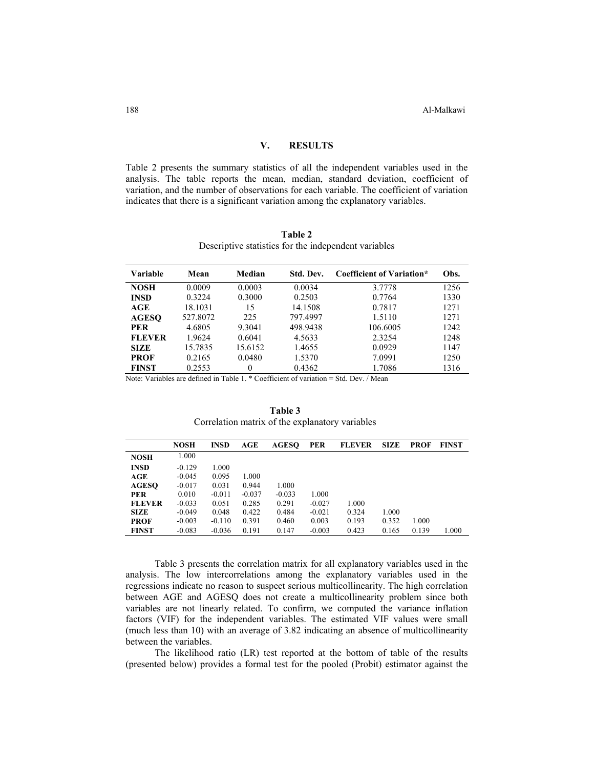### **V. RESULTS**

Table 2 presents the summary statistics of all the independent variables used in the analysis. The table reports the mean, median, standard deviation, coefficient of variation, and the number of observations for each variable. The coefficient of variation indicates that there is a significant variation among the explanatory variables.

| Table 2 |                                                      |  |  |  |  |  |  |
|---------|------------------------------------------------------|--|--|--|--|--|--|
|         | Descriptive statistics for the independent variables |  |  |  |  |  |  |

| Variable                           | Mean               | Median               | Std. Dev. | Coefficient of Variation*           | Obs. |
|------------------------------------|--------------------|----------------------|-----------|-------------------------------------|------|
| <b>NOSH</b>                        | 0.0009             | 0.0003               | 0.0034    | 3.7778                              | 1256 |
| <b>INSD</b>                        | 0.3224             | 0.3000               | 0.2503    | 0.7764                              | 1330 |
| AGE                                | 18.1031            | 15                   | 14.1508   | 0.7817                              | 1271 |
| <b>AGESO</b>                       | 527.8072           | 225                  | 797.4997  | 1.5110                              | 1271 |
| <b>PER</b>                         | 4.6805             | 9.3041               | 498.9438  | 106.6005                            | 1242 |
| <b>FLEVER</b>                      | 1.9624             | 0.6041               | 4.5633    | 2.3254                              | 1248 |
| <b>SIZE</b>                        | 15.7835            | 15.6152              | 1.4655    | 0.0929                              | 1147 |
| <b>PROF</b>                        | 0.2165             | 0.0480               | 1.5370    | 7.0991                              | 1250 |
| <b>FINST</b><br><b>AT . TY !!!</b> | 0.2553<br>$\cdots$ | $_{0}$<br>---------- | 0.4362    | 1.7086<br>$\sim$ $\sim$<br>$\cdots$ | 1316 |

Note: Variables are defined in Table 1. \* Coefficient of variation = Std. Dev. / Mean

**Table 3**  Correlation matrix of the explanatory variables

|               | <b>NOSH</b> | <b>INSD</b> | AGE      | <b>AGESO</b> | <b>PER</b> | <b>FLEVER</b> | <b>SIZE</b> | <b>PROF</b> | <b>FINST</b> |
|---------------|-------------|-------------|----------|--------------|------------|---------------|-------------|-------------|--------------|
| <b>NOSH</b>   | 1.000       |             |          |              |            |               |             |             |              |
| <b>INSD</b>   | $-0.129$    | 1.000       |          |              |            |               |             |             |              |
| AGE           | $-0.045$    | 0.095       | 1.000    |              |            |               |             |             |              |
| <b>AGESO</b>  | $-0.017$    | 0.031       | 0.944    | 1.000        |            |               |             |             |              |
| <b>PER</b>    | 0.010       | $-0.011$    | $-0.037$ | $-0.033$     | 1.000      |               |             |             |              |
| <b>FLEVER</b> | $-0.033$    | 0.051       | 0.285    | 0.291        | $-0.027$   | 1.000         |             |             |              |
| <b>SIZE</b>   | $-0.049$    | 0.048       | 0.422    | 0.484        | $-0.021$   | 0.324         | 1.000       |             |              |
| <b>PROF</b>   | $-0.003$    | $-0.110$    | 0.391    | 0.460        | 0.003      | 0.193         | 0.352       | 1.000       |              |
| <b>FINST</b>  | $-0.083$    | $-0.036$    | 0.191    | 0.147        | $-0.003$   | 0.423         | 0.165       | 0.139       | 1.000        |

Table 3 presents the correlation matrix for all explanatory variables used in the analysis. The low intercorrelations among the explanatory variables used in the regressions indicate no reason to suspect serious multicollinearity. The high correlation between AGE and AGESQ does not create a multicollinearity problem since both variables are not linearly related. To confirm, we computed the variance inflation factors (VIF) for the independent variables. The estimated VIF values were small (much less than 10) with an average of 3.82 indicating an absence of multicollinearity between the variables.

 The likelihood ratio (LR) test reported at the bottom of table of the results (presented below) provides a formal test for the pooled (Probit) estimator against the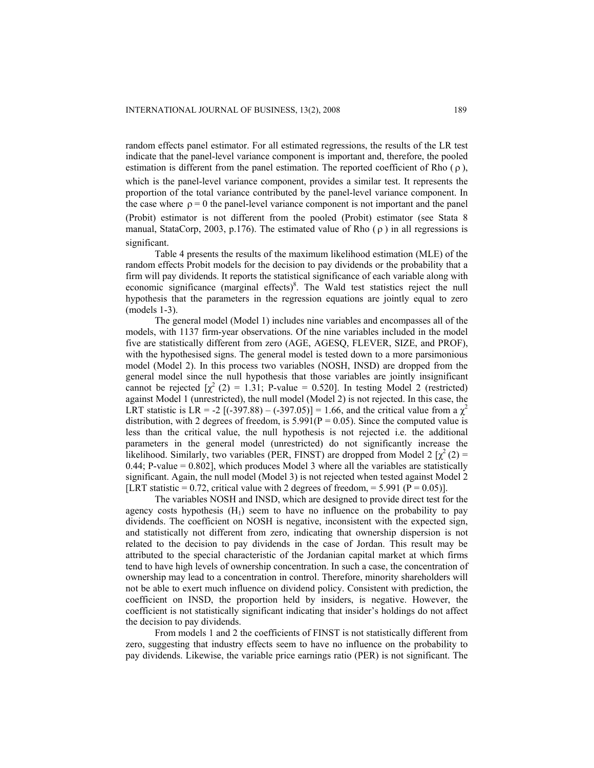random effects panel estimator. For all estimated regressions, the results of the LR test indicate that the panel-level variance component is important and, therefore, the pooled estimation is different from the panel estimation. The reported coefficient of Rho  $(\rho)$ , which is the panel-level variance component, provides a similar test. It represents the proportion of the total variance contributed by the panel-level variance component. In the case where  $\rho = 0$  the panel-level variance component is not important and the panel (Probit) estimator is not different from the pooled (Probit) estimator (see Stata 8 manual, StataCorp, 2003, p.176). The estimated value of Rho  $(\rho)$  in all regressions is significant.

 Table 4 presents the results of the maximum likelihood estimation (MLE) of the random effects Probit models for the decision to pay dividends or the probability that a firm will pay dividends. It reports the statistical significance of each variable along with economic significance (marginal effects)<sup>8</sup>. The Wald test statistics reject the null hypothesis that the parameters in the regression equations are jointly equal to zero (models 1-3).

 The general model (Model 1) includes nine variables and encompasses all of the models, with 1137 firm-year observations. Of the nine variables included in the model five are statistically different from zero (AGE, AGESQ, FLEVER, SIZE, and PROF), with the hypothesised signs. The general model is tested down to a more parsimonious model (Model 2). In this process two variables (NOSH, INSD) are dropped from the general model since the null hypothesis that those variables are jointly insignificant cannot be rejected  $[\chi^2(2) = 1.31; P-value = 0.520]$ . In testing Model 2 (restricted) against Model 1 (unrestricted), the null model (Model 2) is not rejected. In this case, the LRT statistic is LR = -2 [(-397.88) – (-397.05)] = 1.66, and the critical value from a  $\chi^2$ distribution, with 2 degrees of freedom, is  $5.991(P = 0.05)$ . Since the computed value is less than the critical value, the null hypothesis is not rejected i.e. the additional parameters in the general model (unrestricted) do not significantly increase the likelihood. Similarly, two variables (PER, FINST) are dropped from Model 2  $[\chi^2(2) =$ 0.44; P-value  $= 0.802$ ], which produces Model 3 where all the variables are statistically significant. Again, the null model (Model 3) is not rejected when tested against Model 2 [LRT statistic = 0.72, critical value with 2 degrees of freedom, = 5.991 ( $P = 0.05$ )].

 The variables NOSH and INSD, which are designed to provide direct test for the agency costs hypothesis  $(H<sub>1</sub>)$  seem to have no influence on the probability to pay dividends. The coefficient on NOSH is negative, inconsistent with the expected sign, and statistically not different from zero, indicating that ownership dispersion is not related to the decision to pay dividends in the case of Jordan. This result may be attributed to the special characteristic of the Jordanian capital market at which firms tend to have high levels of ownership concentration. In such a case, the concentration of ownership may lead to a concentration in control. Therefore, minority shareholders will not be able to exert much influence on dividend policy. Consistent with prediction, the coefficient on INSD, the proportion held by insiders, is negative. However, the coefficient is not statistically significant indicating that insider's holdings do not affect the decision to pay dividends.

 From models 1 and 2 the coefficients of FINST is not statistically different from zero, suggesting that industry effects seem to have no influence on the probability to pay dividends. Likewise, the variable price earnings ratio (PER) is not significant. The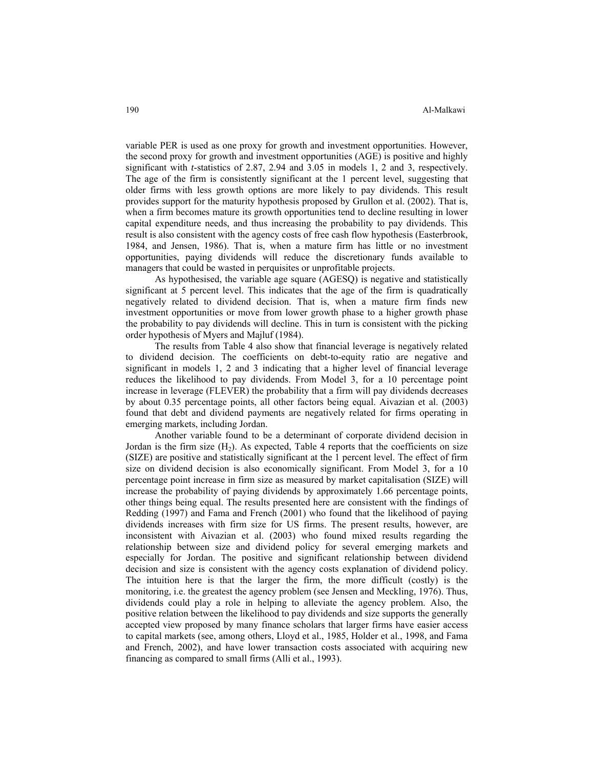variable PER is used as one proxy for growth and investment opportunities. However, the second proxy for growth and investment opportunities (AGE) is positive and highly significant with *t*-statistics of 2.87, 2.94 and 3.05 in models 1, 2 and 3, respectively. The age of the firm is consistently significant at the 1 percent level, suggesting that older firms with less growth options are more likely to pay dividends. This result provides support for the maturity hypothesis proposed by Grullon et al. (2002). That is, when a firm becomes mature its growth opportunities tend to decline resulting in lower capital expenditure needs, and thus increasing the probability to pay dividends. This result is also consistent with the agency costs of free cash flow hypothesis (Easterbrook, 1984, and Jensen, 1986). That is, when a mature firm has little or no investment opportunities, paying dividends will reduce the discretionary funds available to managers that could be wasted in perquisites or unprofitable projects.

 As hypothesised, the variable age square (AGESQ) is negative and statistically significant at 5 percent level. This indicates that the age of the firm is quadratically negatively related to dividend decision. That is, when a mature firm finds new investment opportunities or move from lower growth phase to a higher growth phase the probability to pay dividends will decline. This in turn is consistent with the picking order hypothesis of Myers and Majluf (1984).

 The results from Table 4 also show that financial leverage is negatively related to dividend decision. The coefficients on debt-to-equity ratio are negative and significant in models 1, 2 and 3 indicating that a higher level of financial leverage reduces the likelihood to pay dividends. From Model 3, for a 10 percentage point increase in leverage (FLEVER) the probability that a firm will pay dividends decreases by about 0.35 percentage points, all other factors being equal. Aivazian et al. (2003) found that debt and dividend payments are negatively related for firms operating in emerging markets, including Jordan.

Another variable found to be a determinant of corporate dividend decision in Jordan is the firm size  $(H_2)$ . As expected, Table 4 reports that the coefficients on size (SIZE) are positive and statistically significant at the 1 percent level. The effect of firm size on dividend decision is also economically significant. From Model 3, for a 10 percentage point increase in firm size as measured by market capitalisation (SIZE) will increase the probability of paying dividends by approximately 1.66 percentage points, other things being equal. The results presented here are consistent with the findings of Redding (1997) and Fama and French (2001) who found that the likelihood of paying dividends increases with firm size for US firms. The present results, however, are inconsistent with Aivazian et al. (2003) who found mixed results regarding the relationship between size and dividend policy for several emerging markets and especially for Jordan. The positive and significant relationship between dividend decision and size is consistent with the agency costs explanation of dividend policy. The intuition here is that the larger the firm, the more difficult (costly) is the monitoring, i.e. the greatest the agency problem (see Jensen and Meckling, 1976). Thus, dividends could play a role in helping to alleviate the agency problem. Also, the positive relation between the likelihood to pay dividends and size supports the generally accepted view proposed by many finance scholars that larger firms have easier access to capital markets (see, among others, Lloyd et al., 1985, Holder et al., 1998, and Fama and French, 2002), and have lower transaction costs associated with acquiring new financing as compared to small firms (Alli et al., 1993).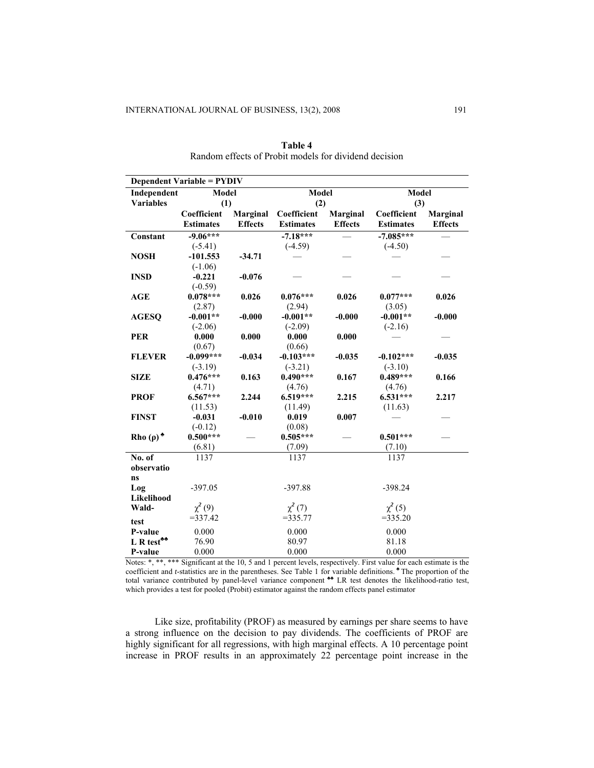j.

| <b>Dependent Variable = PYDIV</b> |                  |                 |                  |                 |                  |                |  |
|-----------------------------------|------------------|-----------------|------------------|-----------------|------------------|----------------|--|
| Independent                       | Model            |                 | <b>Model</b>     |                 | <b>Model</b>     |                |  |
| <b>Variables</b>                  | (1)              |                 | (2)              |                 | (3)              |                |  |
|                                   | Coefficient      | <b>Marginal</b> | Coefficient      | <b>Marginal</b> | Coefficient      | Marginal       |  |
|                                   | <b>Estimates</b> | <b>Effects</b>  | <b>Estimates</b> | <b>Effects</b>  | <b>Estimates</b> | <b>Effects</b> |  |
| Constant                          | $-9.06***$       |                 | $-7.18***$       |                 | $-7.085***$      |                |  |
|                                   | $(-5.41)$        |                 | $(-4.59)$        |                 | $(-4.50)$        |                |  |
| <b>NOSH</b>                       | $-101.553$       | $-34.71$        |                  |                 |                  |                |  |
|                                   | $(-1.06)$        |                 |                  |                 |                  |                |  |
| <b>INSD</b>                       | $-0.221$         | $-0.076$        |                  |                 |                  |                |  |
|                                   | $(-0.59)$        |                 |                  |                 |                  |                |  |
| AGE                               | $0.078***$       | 0.026           | $0.076***$       | 0.026           | $0.077***$       | 0.026          |  |
|                                   | (2.87)           |                 | (2.94)           |                 | (3.05)           |                |  |
| <b>AGESQ</b>                      | $-0.001**$       | $-0.000$        | $-0.001**$       | $-0.000$        | $-0.001**$       | $-0.000$       |  |
|                                   | $(-2.06)$        |                 | $(-2.09)$        |                 | $(-2.16)$        |                |  |
| <b>PER</b>                        | 0.000            | 0.000           | 0.000            | 0.000           |                  |                |  |
|                                   | (0.67)           |                 | (0.66)           |                 |                  |                |  |
| <b>FLEVER</b>                     | $-0.099***$      | $-0.034$        | $-0.103***$      | $-0.035$        | $-0.102***$      | $-0.035$       |  |
|                                   | $(-3.19)$        |                 | $(-3.21)$        |                 | $(-3.10)$        |                |  |
| <b>SIZE</b>                       | $0.476***$       | 0.163           | $0.490***$       | 0.167           | $0.489***$       | 0.166          |  |
|                                   | (4.71)           |                 | (4.76)           |                 | (4.76)           |                |  |
| <b>PROF</b>                       | $6.567***$       | 2.244           | $6.519***$       | 2.215           | $6.531***$       | 2.217          |  |
|                                   | (11.53)          |                 | (11.49)          |                 | (11.63)          |                |  |
| <b>FINST</b>                      | $-0.031$         | $-0.010$        | 0.019            | 0.007           |                  |                |  |
|                                   | $(-0.12)$        |                 | (0.08)           |                 |                  |                |  |
| Rho $(\rho)^*$                    | $0.500***$       |                 | $0.505***$       |                 | $0.501***$       |                |  |
|                                   | (6.81)           |                 | (7.09)           |                 | (7.10)           |                |  |
| No. of                            | 1137             |                 | 1137             |                 | 1137             |                |  |
| observatio                        |                  |                 |                  |                 |                  |                |  |
| ns                                |                  |                 |                  |                 |                  |                |  |
| Log                               | $-397.05$        |                 | $-397.88$        |                 | $-398.24$        |                |  |
| Likelihood                        |                  |                 |                  |                 |                  |                |  |
| Wald-                             | $\chi^2(9)$      |                 | $\chi^2(7)$      |                 | $\chi^2$ (5)     |                |  |
| test                              | $= 337.42$       |                 | $= 335.77$       |                 | $= 335.20$       |                |  |
| P-value                           | 0.000            |                 | 0.000            |                 | 0.000            |                |  |
| $L R test**$                      | 76.90            |                 | 80.97            |                 | 81.18            |                |  |
| P-value                           | 0.000            |                 | 0.000            |                 | 0.000            |                |  |

**Table 4**  Random effects of Probit models for dividend decision

Notes: \*, \*\*, \*\*\* Significant at the 10, 5 and 1 percent levels, respectively. First value for each estimate is the coefficient and *t*-statistics are in the parentheses. See Table 1 for variable definitions. **♣** The proportion of the total variance contributed by panel-level variance component **<sup>•</sup>** LR test denotes the likelihood-ratio test, which provides a test for pooled (Probit) estimator against the random effects panel estimator

 Like size, profitability (PROF) as measured by earnings per share seems to have a strong influence on the decision to pay dividends. The coefficients of PROF are highly significant for all regressions, with high marginal effects. A 10 percentage point increase in PROF results in an approximately 22 percentage point increase in the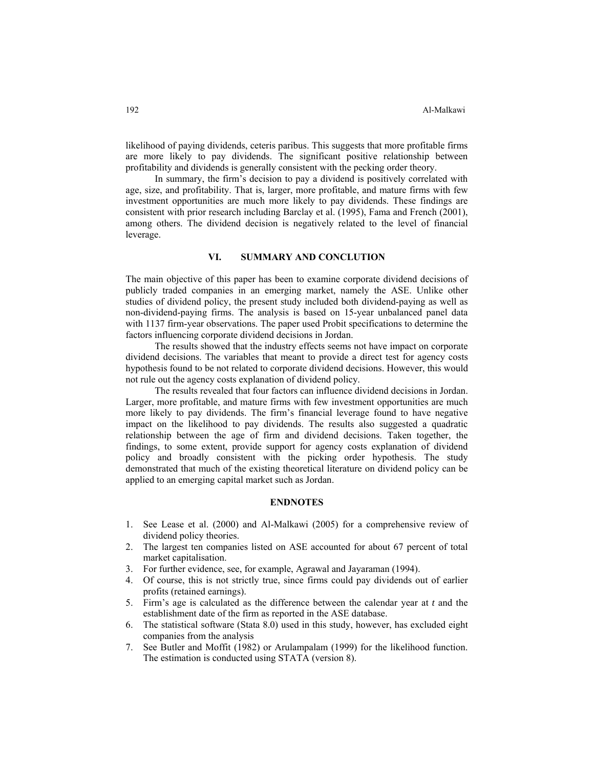likelihood of paying dividends, ceteris paribus. This suggests that more profitable firms are more likely to pay dividends. The significant positive relationship between profitability and dividends is generally consistent with the pecking order theory.

 In summary, the firm's decision to pay a dividend is positively correlated with age, size, and profitability. That is, larger, more profitable, and mature firms with few investment opportunities are much more likely to pay dividends. These findings are consistent with prior research including Barclay et al. (1995), Fama and French (2001), among others. The dividend decision is negatively related to the level of financial leverage.

## **VI. SUMMARY AND CONCLUTION**

The main objective of this paper has been to examine corporate dividend decisions of publicly traded companies in an emerging market, namely the ASE. Unlike other studies of dividend policy, the present study included both dividend-paying as well as non-dividend-paying firms. The analysis is based on 15-year unbalanced panel data with 1137 firm-year observations. The paper used Probit specifications to determine the factors influencing corporate dividend decisions in Jordan.

 The results showed that the industry effects seems not have impact on corporate dividend decisions. The variables that meant to provide a direct test for agency costs hypothesis found to be not related to corporate dividend decisions. However, this would not rule out the agency costs explanation of dividend policy.

 The results revealed that four factors can influence dividend decisions in Jordan. Larger, more profitable, and mature firms with few investment opportunities are much more likely to pay dividends. The firm's financial leverage found to have negative impact on the likelihood to pay dividends. The results also suggested a quadratic relationship between the age of firm and dividend decisions. Taken together, the findings, to some extent, provide support for agency costs explanation of dividend policy and broadly consistent with the picking order hypothesis. The study demonstrated that much of the existing theoretical literature on dividend policy can be applied to an emerging capital market such as Jordan.

## **ENDNOTES**

- 1. See Lease et al. (2000) and Al-Malkawi (2005) for a comprehensive review of dividend policy theories.
- 2. The largest ten companies listed on ASE accounted for about 67 percent of total market capitalisation.
- 3. For further evidence, see, for example, Agrawal and Jayaraman (1994).
- 4. Of course, this is not strictly true, since firms could pay dividends out of earlier profits (retained earnings).
- 5. Firm's age is calculated as the difference between the calendar year at *t* and the establishment date of the firm as reported in the ASE database.
- 6. The statistical software (Stata 8.0) used in this study, however, has excluded eight companies from the analysis
- 7. See Butler and Moffit (1982) or Arulampalam (1999) for the likelihood function. The estimation is conducted using STATA (version 8).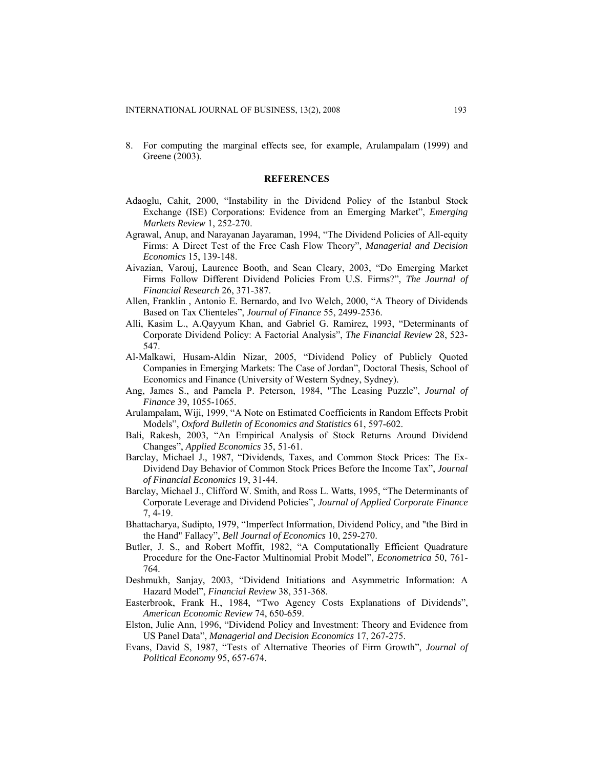8. For computing the marginal effects see, for example, Arulampalam (1999) and Greene (2003).

#### **REFERENCES**

- Adaoglu, Cahit, 2000, "Instability in the Dividend Policy of the Istanbul Stock Exchange (ISE) Corporations: Evidence from an Emerging Market", *Emerging Markets Review* 1, 252-270.
- Agrawal, Anup, and Narayanan Jayaraman, 1994, "The Dividend Policies of All-equity Firms: A Direct Test of the Free Cash Flow Theory", *Managerial and Decision Economics* 15, 139-148.
- Aivazian, Varouj, Laurence Booth, and Sean Cleary, 2003, "Do Emerging Market Firms Follow Different Dividend Policies From U.S. Firms?", *The Journal of Financial Research* 26, 371-387.
- Allen, Franklin , Antonio E. Bernardo, and Ivo Welch, 2000, "A Theory of Dividends Based on Tax Clienteles", *Journal of Finance* 55, 2499-2536.
- Alli, Kasim L., A.Qayyum Khan, and Gabriel G. Ramirez, 1993, "Determinants of Corporate Dividend Policy: A Factorial Analysis", *The Financial Review* 28, 523- 547.
- Al-Malkawi, Husam-Aldin Nizar, 2005, "Dividend Policy of Publicly Quoted Companies in Emerging Markets: The Case of Jordan", Doctoral Thesis, School of Economics and Finance (University of Western Sydney, Sydney).
- Ang, James S., and Pamela P. Peterson, 1984, "The Leasing Puzzle", *Journal of Finance* 39, 1055-1065.
- Arulampalam, Wiji, 1999, "A Note on Estimated Coefficients in Random Effects Probit Models", *Oxford Bulletin of Economics and Statistics* 61, 597-602.
- Bali, Rakesh, 2003, "An Empirical Analysis of Stock Returns Around Dividend Changes", *Applied Economics* 35, 51-61.
- Barclay, Michael J., 1987, "Dividends, Taxes, and Common Stock Prices: The Ex-Dividend Day Behavior of Common Stock Prices Before the Income Tax", *Journal of Financial Economics* 19, 31-44.
- Barclay, Michael J., Clifford W. Smith, and Ross L. Watts, 1995, "The Determinants of Corporate Leverage and Dividend Policies", *Journal of Applied Corporate Finance* 7, 4-19.
- Bhattacharya, Sudipto, 1979, "Imperfect Information, Dividend Policy, and "the Bird in the Hand" Fallacy", *Bell Journal of Economics* 10, 259-270.
- Butler, J. S., and Robert Moffit, 1982, "A Computationally Efficient Quadrature Procedure for the One-Factor Multinomial Probit Model", *Econometrica* 50, 761- 764.
- Deshmukh, Sanjay, 2003, "Dividend Initiations and Asymmetric Information: A Hazard Model", *Financial Review* 38, 351-368.
- Easterbrook, Frank H., 1984, "Two Agency Costs Explanations of Dividends", *American Economic Review* 74, 650-659.
- Elston, Julie Ann, 1996, "Dividend Policy and Investment: Theory and Evidence from US Panel Data", *Managerial and Decision Economics* 17, 267-275.
- Evans, David S, 1987, "Tests of Alternative Theories of Firm Growth", *Journal of Political Economy* 95, 657-674.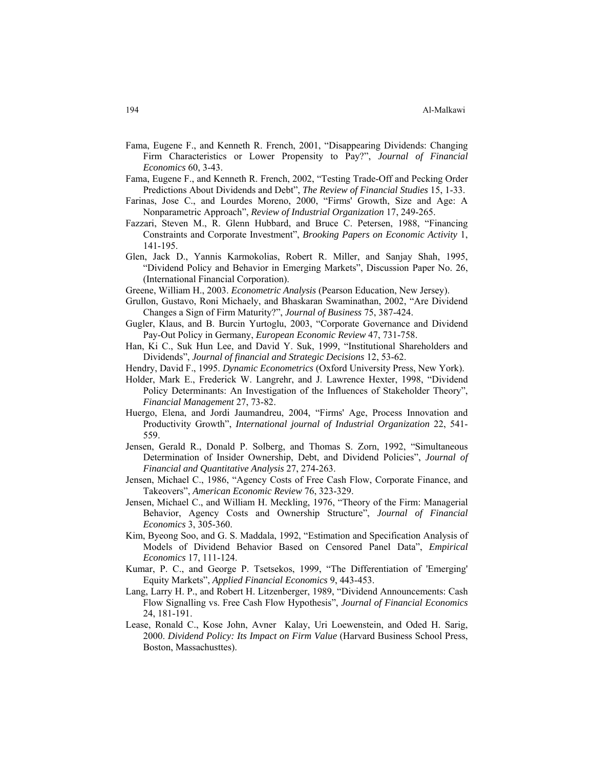- Fama, Eugene F., and Kenneth R. French, 2001, "Disappearing Dividends: Changing Firm Characteristics or Lower Propensity to Pay?", *Journal of Financial Economics* 60, 3-43.
- Fama, Eugene F., and Kenneth R. French, 2002, "Testing Trade-Off and Pecking Order Predictions About Dividends and Debt", *The Review of Financial Studies* 15, 1-33.
- Farinas, Jose C., and Lourdes Moreno, 2000, "Firms' Growth, Size and Age: A Nonparametric Approach", *Review of Industrial Organization* 17, 249-265.
- Fazzari, Steven M., R. Glenn Hubbard, and Bruce C. Petersen, 1988, "Financing Constraints and Corporate Investment", *Brooking Papers on Economic Activity* 1, 141-195.
- Glen, Jack D., Yannis Karmokolias, Robert R. Miller, and Sanjay Shah, 1995, "Dividend Policy and Behavior in Emerging Markets", Discussion Paper No. 26, (International Financial Corporation).
- Greene, William H., 2003. *Econometric Analysis* (Pearson Education, New Jersey).
- Grullon, Gustavo, Roni Michaely, and Bhaskaran Swaminathan, 2002, "Are Dividend Changes a Sign of Firm Maturity?", *Journal of Business* 75, 387-424.
- Gugler, Klaus, and B. Burcin Yurtoglu, 2003, "Corporate Governance and Dividend Pay-Out Policy in Germany, *European Economic Review* 47, 731-758.
- Han, Ki C., Suk Hun Lee, and David Y. Suk, 1999, "Institutional Shareholders and Dividends", *Journal of financial and Strategic Decisions* 12, 53-62.
- Hendry, David F., 1995. *Dynamic Econometrics* (Oxford University Press, New York).
- Holder, Mark E., Frederick W. Langrehr, and J. Lawrence Hexter, 1998, "Dividend Policy Determinants: An Investigation of the Influences of Stakeholder Theory", *Financial Management* 27, 73-82.
- Huergo, Elena, and Jordi Jaumandreu, 2004, "Firms' Age, Process Innovation and Productivity Growth", *International journal of Industrial Organization* 22, 541- 559.
- Jensen, Gerald R., Donald P. Solberg, and Thomas S. Zorn, 1992, "Simultaneous Determination of Insider Ownership, Debt, and Dividend Policies", *Journal of Financial and Quantitative Analysis* 27, 274-263.
- Jensen, Michael C., 1986, "Agency Costs of Free Cash Flow, Corporate Finance, and Takeovers", *American Economic Review* 76, 323-329.
- Jensen, Michael C., and William H. Meckling, 1976, "Theory of the Firm: Managerial Behavior, Agency Costs and Ownership Structure", *Journal of Financial Economics* 3, 305-360.
- Kim, Byeong Soo, and G. S. Maddala, 1992, "Estimation and Specification Analysis of Models of Dividend Behavior Based on Censored Panel Data", *Empirical Economics* 17, 111-124.
- Kumar, P. C., and George P. Tsetsekos, 1999, "The Differentiation of 'Emerging' Equity Markets", *Applied Financial Economics* 9, 443-453.
- Lang, Larry H. P., and Robert H. Litzenberger, 1989, "Dividend Announcements: Cash Flow Signalling vs. Free Cash Flow Hypothesis", *Journal of Financial Economics* 24, 181-191.
- Lease, Ronald C., Kose John, Avner Kalay, Uri Loewenstein, and Oded H. Sarig, 2000. *Dividend Policy: Its Impact on Firm Value* (Harvard Business School Press, Boston, Massachusttes).